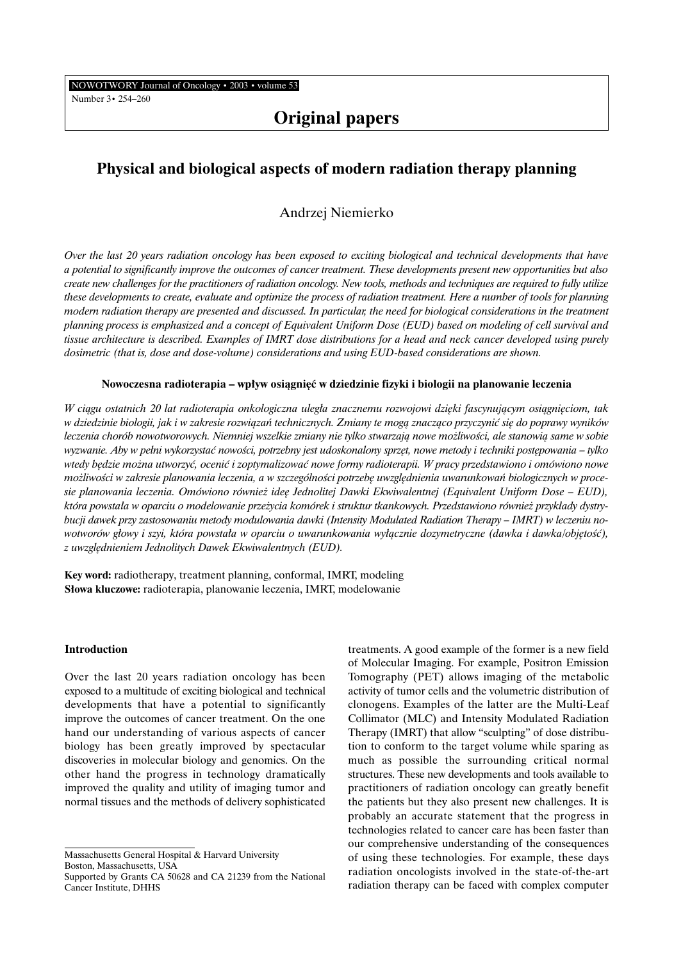NOWOTWORY Journal of Oncology • 2003 • volume 53

Number 3• 254–260

# **Original papers**

## **Physical and biological aspects of modern radiation therapy planning**

### Andrzej Niemierko

*Over the last 20 years radiation oncology has been exposed to exciting biological and technical developments that have a potential to significantly improve the outcomes of cancer treatment. These developments present new opportunities but also create new challenges for the practitioners of radiation oncology. New tools, methods and techniques are required to fully utilize these developments to create, evaluate and optimize the process of radiation treatment. Here a number of tools for planning modern radiation therapy are presented and discussed. In particular, the need for biological considerations in the treatment planning process is emphasized and a concept of Equivalent Uniform Dose (EUD) based on modeling of cell survival and tissue architecture is described. Examples of IMRT dose distributions for a head and neck cancer developed using purely dosimetric (that is, dose and dose-volume) considerations and using EUD-based considerations are shown.*

#### Nowoczesna radioterapia – wpływ osiągnięć w dziedzinie fizyki i biologii na planowanie leczenia

*W ciàgu ostatnich 20 lat radioterapia onkologiczna uleg∏a znacznemu rozwojowi dzi´ki fascynujàcym osiàgni´ciom, tak w dziedzinie biologii, jak i w zakresie rozwiàzaƒ technicznych. Zmiany te mogà znaczàco przyczyniç si´ do poprawy wyników* leczenia chorób nowotworowych. Niemniej wszelkie zmiany nie tylko stwarzają nowe możliwości, ale stanowią same w sobie *wyzwanie. Aby w pełni wykorzystać nowości, potrzebny jest udoskonalony sprzęt, nowe metody i techniki postępowania – tylko wtedy b´dzie mo˝na utworzyç, oceniç i zoptymalizowaç nowe formy radioterapii. W pracy przedstawiono i omówiono nowe możliwości w zakresie planowania leczenia, a w szczególności potrzebę uwzględnienia uwarunkowań biologicznych w proce*sie planowania leczenia. Omówiono również ideę Jednolitej Dawki Ekwiwalentnej (Equivalent Uniform Dose – EUD), *która powsta∏a w oparciu o modelowanie prze˝ycia komórek i struktur tkankowych. Przedstawiono równie˝ przyk∏ady dystrybucji dawek przy zastosowaniu metody modulowania dawki (Intensity Modulated Radiation Therapy – IMRT) w leczeniu no*wotworów głowy i szyi, która powstała w oparciu o uwarunkowania wyłącznie dozymetryczne (dawka i dawka/objętość), *z uwzgl´dnieniem Jednolitych Dawek Ekwiwalentnych (EUD).*

**Key word:** radiotherapy, treatment planning, conformal, IMRT, modeling **S∏owa kluczowe:** radioterapia, planowanie leczenia, IMRT, modelowanie

#### **Introduction**

Over the last 20 years radiation oncology has been exposed to a multitude of exciting biological and technical developments that have a potential to significantly improve the outcomes of cancer treatment. On the one hand our understanding of various aspects of cancer biology has been greatly improved by spectacular discoveries in molecular biology and genomics. On the other hand the progress in technology dramatically improved the quality and utility of imaging tumor and normal tissues and the methods of delivery sophisticated

Massachusetts General Hospital & Harvard University Boston, Massachusetts, USA

treatments. A good example of the former is a new field of Molecular Imaging. For example, Positron Emission Tomography (PET) allows imaging of the metabolic activity of tumor cells and the volumetric distribution of clonogens. Examples of the latter are the Multi-Leaf Collimator (MLC) and Intensity Modulated Radiation Therapy (IMRT) that allow "sculpting" of dose distribution to conform to the target volume while sparing as much as possible the surrounding critical normal structures. These new developments and tools available to practitioners of radiation oncology can greatly benefit the patients but they also present new challenges. It is probably an accurate statement that the progress in technologies related to cancer care has been faster than our comprehensive understanding of the consequences of using these technologies. For example, these days radiation oncologists involved in the state-of-the-art radiation therapy can be faced with complex computer

Supported by Grants CA 50628 and CA 21239 from the National Cancer Institute, DHHS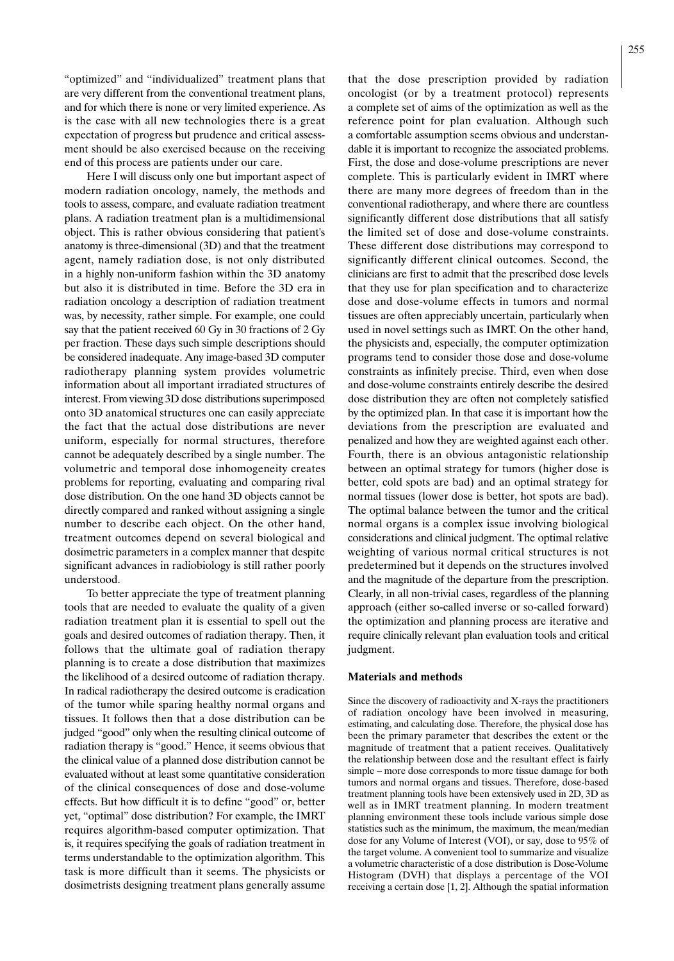"optimized" and "individualized" treatment plans that are very different from the conventional treatment plans, and for which there is none or very limited experience. As is the case with all new technologies there is a great expectation of progress but prudence and critical assessment should be also exercised because on the receiving end of this process are patients under our care.

Here I will discuss only one but important aspect of modern radiation oncology, namely, the methods and tools to assess, compare, and evaluate radiation treatment plans. A radiation treatment plan is a multidimensional object. This is rather obvious considering that patient's anatomy is three-dimensional (3D) and that the treatment agent, namely radiation dose, is not only distributed in a highly non-uniform fashion within the 3D anatomy but also it is distributed in time. Before the 3D era in radiation oncology a description of radiation treatment was, by necessity, rather simple. For example, one could say that the patient received 60 Gy in 30 fractions of 2 Gy per fraction. These days such simple descriptions should be considered inadequate. Any image-based 3D computer radiotherapy planning system provides volumetric information about all important irradiated structures of interest. From viewing 3D dose distributions superimposed onto 3D anatomical structures one can easily appreciate the fact that the actual dose distributions are never uniform, especially for normal structures, therefore cannot be adequately described by a single number. The volumetric and temporal dose inhomogeneity creates problems for reporting, evaluating and comparing rival dose distribution. On the one hand 3D objects cannot be directly compared and ranked without assigning a single number to describe each object. On the other hand, treatment outcomes depend on several biological and dosimetric parameters in a complex manner that despite significant advances in radiobiology is still rather poorly understood.

To better appreciate the type of treatment planning tools that are needed to evaluate the quality of a given radiation treatment plan it is essential to spell out the goals and desired outcomes of radiation therapy. Then, it follows that the ultimate goal of radiation therapy planning is to create a dose distribution that maximizes the likelihood of a desired outcome of radiation therapy. In radical radiotherapy the desired outcome is eradication of the tumor while sparing healthy normal organs and tissues. It follows then that a dose distribution can be judged "good" only when the resulting clinical outcome of radiation therapy is "good." Hence, it seems obvious that the clinical value of a planned dose distribution cannot be evaluated without at least some quantitative consideration of the clinical consequences of dose and dose-volume effects. But how difficult it is to define "good" or, better yet, "optimal" dose distribution? For example, the IMRT requires algorithm-based computer optimization. That is, it requires specifying the goals of radiation treatment in terms understandable to the optimization algorithm. This task is more difficult than it seems. The physicists or dosimetrists designing treatment plans generally assume

that the dose prescription provided by radiation oncologist (or by a treatment protocol) represents a complete set of aims of the optimization as well as the reference point for plan evaluation. Although such a comfortable assumption seems obvious and understandable it is important to recognize the associated problems. First, the dose and dose-volume prescriptions are never complete. This is particularly evident in IMRT where there are many more degrees of freedom than in the conventional radiotherapy, and where there are countless significantly different dose distributions that all satisfy the limited set of dose and dose-volume constraints. These different dose distributions may correspond to significantly different clinical outcomes. Second, the clinicians are first to admit that the prescribed dose levels that they use for plan specification and to characterize dose and dose-volume effects in tumors and normal tissues are often appreciably uncertain, particularly when used in novel settings such as IMRT. On the other hand, the physicists and, especially, the computer optimization programs tend to consider those dose and dose-volume constraints as infinitely precise. Third, even when dose and dose-volume constraints entirely describe the desired dose distribution they are often not completely satisfied by the optimized plan. In that case it is important how the deviations from the prescription are evaluated and penalized and how they are weighted against each other. Fourth, there is an obvious antagonistic relationship between an optimal strategy for tumors (higher dose is better, cold spots are bad) and an optimal strategy for normal tissues (lower dose is better, hot spots are bad). The optimal balance between the tumor and the critical normal organs is a complex issue involving biological considerations and clinical judgment. The optimal relative weighting of various normal critical structures is not predetermined but it depends on the structures involved and the magnitude of the departure from the prescription. Clearly, in all non-trivial cases, regardless of the planning approach (either so-called inverse or so-called forward) the optimization and planning process are iterative and require clinically relevant plan evaluation tools and critical judgment.

#### **Materials and methods**

Since the discovery of radioactivity and X-rays the practitioners of radiation oncology have been involved in measuring, estimating, and calculating dose. Therefore, the physical dose has been the primary parameter that describes the extent or the magnitude of treatment that a patient receives. Qualitatively the relationship between dose and the resultant effect is fairly simple – more dose corresponds to more tissue damage for both tumors and normal organs and tissues. Therefore, dose-based treatment planning tools have been extensively used in 2D, 3D as well as in IMRT treatment planning. In modern treatment planning environment these tools include various simple dose statistics such as the minimum, the maximum, the mean/median dose for any Volume of Interest (VOI), or say, dose to 95% of the target volume. A convenient tool to summarize and visualize a volumetric characteristic of a dose distribution is Dose-Volume Histogram (DVH) that displays a percentage of the VOI receiving a certain dose [1, 2]. Although the spatial information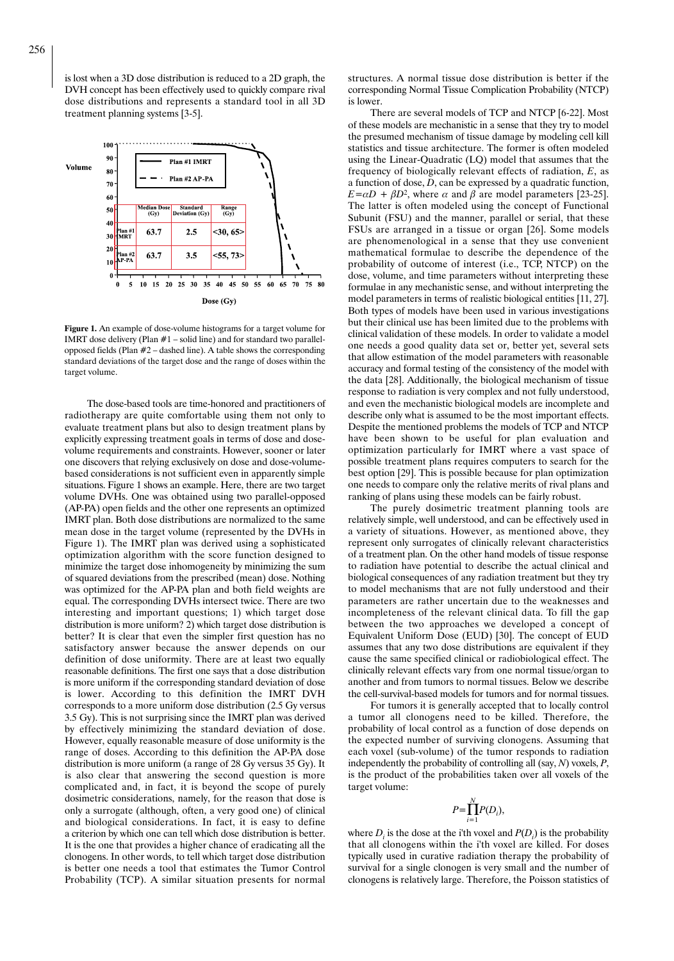is lost when a 3D dose distribution is reduced to a 2D graph, the DVH concept has been effectively used to quickly compare rival dose distributions and represents a standard tool in all 3D treatment planning systems [3-5].



**Figure 1.** An example of dose-volume histograms for a target volume for IMRT dose delivery (Plan  $#1$  – solid line) and for standard two parallelopposed fields (Plan #2 – dashed line). A table shows the corresponding standard deviations of the target dose and the range of doses within the target volume.

The dose-based tools are time-honored and practitioners of radiotherapy are quite comfortable using them not only to evaluate treatment plans but also to design treatment plans by explicitly expressing treatment goals in terms of dose and dosevolume requirements and constraints. However, sooner or later one discovers that relying exclusively on dose and dose-volumebased considerations is not sufficient even in apparently simple situations. Figure 1 shows an example. Here, there are two target volume DVHs. One was obtained using two parallel-opposed (AP-PA) open fields and the other one represents an optimized IMRT plan. Both dose distributions are normalized to the same mean dose in the target volume (represented by the DVHs in Figure 1). The IMRT plan was derived using a sophisticated optimization algorithm with the score function designed to minimize the target dose inhomogeneity by minimizing the sum of squared deviations from the prescribed (mean) dose. Nothing was optimized for the AP-PA plan and both field weights are equal. The corresponding DVHs intersect twice. There are two interesting and important questions; 1) which target dose distribution is more uniform? 2) which target dose distribution is better? It is clear that even the simpler first question has no satisfactory answer because the answer depends on our definition of dose uniformity. There are at least two equally reasonable definitions. The first one says that a dose distribution is more uniform if the corresponding standard deviation of dose is lower. According to this definition the IMRT DVH corresponds to a more uniform dose distribution (2.5 Gy versus 3.5 Gy). This is not surprising since the IMRT plan was derived by effectively minimizing the standard deviation of dose. However, equally reasonable measure of dose uniformity is the range of doses. According to this definition the AP-PA dose distribution is more uniform (a range of 28 Gy versus 35 Gy). It is also clear that answering the second question is more complicated and, in fact, it is beyond the scope of purely dosimetric considerations, namely, for the reason that dose is only a surrogate (although, often, a very good one) of clinical and biological considerations. In fact, it is easy to define a criterion by which one can tell which dose distribution is better. It is the one that provides a higher chance of eradicating all the clonogens. In other words, to tell which target dose distribution is better one needs a tool that estimates the Tumor Control Probability (TCP). A similar situation presents for normal

structures. A normal tissue dose distribution is better if the corresponding Normal Tissue Complication Probability (NTCP) is lower.

There are several models of TCP and NTCP [6-22]. Most of these models are mechanistic in a sense that they try to model the presumed mechanism of tissue damage by modeling cell kill statistics and tissue architecture. The former is often modeled using the Linear-Quadratic (LQ) model that assumes that the frequency of biologically relevant effects of radiation, *E*, as a function of dose, *D*, can be expressed by a quadratic function,  $E = \alpha D + \beta D^2$ , where  $\alpha$  and  $\beta$  are model parameters [23-25]. The latter is often modeled using the concept of Functional Subunit (FSU) and the manner, parallel or serial, that these FSUs are arranged in a tissue or organ [26]. Some models are phenomenological in a sense that they use convenient mathematical formulae to describe the dependence of the probability of outcome of interest (i.e., TCP, NTCP) on the dose, volume, and time parameters without interpreting these formulae in any mechanistic sense, and without interpreting the model parameters in terms of realistic biological entities [11, 27]. Both types of models have been used in various investigations but their clinical use has been limited due to the problems with clinical validation of these models. In order to validate a model one needs a good quality data set or, better yet, several sets that allow estimation of the model parameters with reasonable accuracy and formal testing of the consistency of the model with the data [28]. Additionally, the biological mechanism of tissue response to radiation is very complex and not fully understood, and even the mechanistic biological models are incomplete and describe only what is assumed to be the most important effects. Despite the mentioned problems the models of TCP and NTCP have been shown to be useful for plan evaluation and optimization particularly for IMRT where a vast space of possible treatment plans requires computers to search for the best option [29]. This is possible because for plan optimization one needs to compare only the relative merits of rival plans and ranking of plans using these models can be fairly robust.

The purely dosimetric treatment planning tools are relatively simple, well understood, and can be effectively used in a variety of situations. However, as mentioned above, they represent only surrogates of clinically relevant characteristics of a treatment plan. On the other hand models of tissue response to radiation have potential to describe the actual clinical and biological consequences of any radiation treatment but they try to model mechanisms that are not fully understood and their parameters are rather uncertain due to the weaknesses and incompleteness of the relevant clinical data. To fill the gap between the two approaches we developed a concept of Equivalent Uniform Dose (EUD) [30]. The concept of EUD assumes that any two dose distributions are equivalent if they cause the same specified clinical or radiobiological effect. The clinically relevant effects vary from one normal tissue/organ to another and from tumors to normal tissues. Below we describe the cell-survival-based models for tumors and for normal tissues.

For tumors it is generally accepted that to locally control a tumor all clonogens need to be killed. Therefore, the probability of local control as a function of dose depends on the expected number of surviving clonogens. Assuming that each voxel (sub-volume) of the tumor responds to radiation independently the probability of controlling all (say, *N*) voxels, *P*, is the product of the probabilities taken over all voxels of the target volume:

$$
P = \prod_{i=1}^{N} P(D_i),
$$

where  $D_i$  is the dose at the i'th voxel and  $P(D_i)$  is the probability that all clonogens within the i'th voxel are killed. For doses typically used in curative radiation therapy the probability of survival for a single clonogen is very small and the number of clonogens is relatively large. Therefore, the Poisson statistics of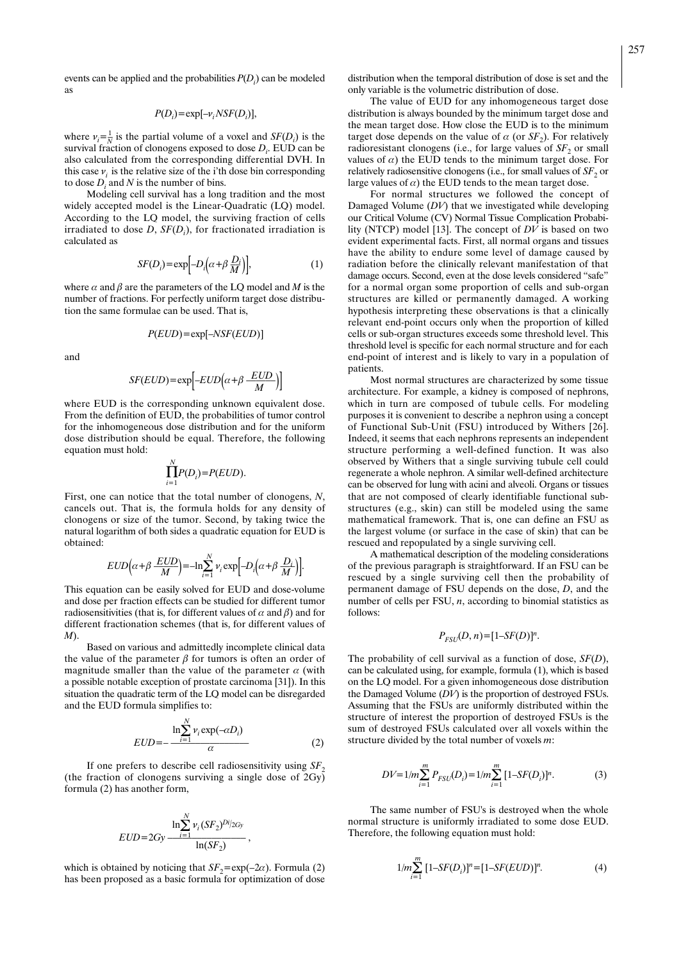events can be applied and the probabilities *P*(*Di* ) can be modeled as

$$
P(D_i) = \exp[-\nu_i NSF(D_i)],
$$

where  $v_i = \frac{1}{N}$  is the partial volume of a voxel and *SF(D<sub>i</sub>*) is the survival fraction of clonogens exposed to dose *Di* . EUD can be also calculated from the corresponding differential DVH. In this case  $v_i$  is the relative size of the i'th dose bin corresponding to dose  $D_i$  and  $N$  is the number of bins.

Modeling cell survival has a long tradition and the most widely accepted model is the Linear-Quadratic (LQ) model. According to the LQ model, the surviving fraction of cells irradiated to dose *D*, *SF*(*Di* ), for fractionated irradiation is calculated as

$$
SF(D_i) = \exp\left[-D_i\left(\alpha + \beta \frac{D_i}{M}\right)\right],\tag{1}
$$

where  $\alpha$  and  $\beta$  are the parameters of the LQ model and *M* is the number of fractions. For perfectly uniform target dose distribution the same formulae can be used. That is,

$$
P(EUD) = \exp[-NSF(EUD)]
$$

and

$$
SF(EUD) = \exp\left[-EUD\left(\alpha + \beta \frac{EUD}{M}\right)\right]
$$

where EUD is the corresponding unknown equivalent dose. From the definition of EUD, the probabilities of tumor control for the inhomogeneous dose distribution and for the uniform dose distribution should be equal. Therefore, the following equation must hold:

$$
\prod_{i=1}^N P(D_i) = P(EUD).
$$

First, one can notice that the total number of clonogens, *N*, cancels out. That is, the formula holds for any density of clonogens or size of the tumor. Second, by taking twice the natural logarithm of both sides a quadratic equation for EUD is obtained:

$$
EUD(\alpha + \beta \frac{EUD}{M}) = -\ln \sum_{i=1}^{N} v_i \exp[-D_i(\alpha + \beta \frac{D_i}{M})].
$$

This equation can be easily solved for EUD and dose-volume and dose per fraction effects can be studied for different tumor radiosensitivities (that is, for different values of  $\alpha$  and  $\beta$ ) and for different fractionation schemes (that is, for different values of *M*).

Based on various and admittedly incomplete clinical data the value of the parameter  $\beta$  for tumors is often an order of magnitude smaller than the value of the parameter  $\alpha$  (with a possible notable exception of prostate carcinoma [31]). In this situation the quadratic term of the LQ model can be disregarded and the EUD formula simplifies to:

*N*

$$
EUD = -\frac{\ln \sum_{i=1}^{N} v_i \exp(-\alpha D_i)}{\alpha} \tag{2}
$$

If one prefers to describe cell radiosensitivity using  $SF<sub>2</sub>$ (the fraction of clonogens surviving a single dose of 2Gy) formula (2) has another form,

$$
EUD=2Gy \frac{\ln \sum_{i=1}^{N} v_i (SF_2)^{Di/2Gy}}{\ln(SF_2)},
$$

which is obtained by noticing that  $SF<sub>2</sub>=exp(-2\alpha)$ . Formula (2) has been proposed as a basic formula for optimization of dose distribution when the temporal distribution of dose is set and the only variable is the volumetric distribution of dose.

The value of EUD for any inhomogeneous target dose distribution is always bounded by the minimum target dose and the mean target dose. How close the EUD is to the minimum target dose depends on the value of  $\alpha$  (or  $SF<sub>2</sub>$ ). For relatively radioresistant clonogens (i.e., for large values of  $SF<sub>2</sub>$  or small values of  $\alpha$ ) the EUD tends to the minimum target dose. For relatively radiosensitive clonogens (i.e., for small values of  $SF<sub>2</sub>$  or large values of  $\alpha$ ) the EUD tends to the mean target dose.

For normal structures we followed the concept of Damaged Volume (*DV*) that we investigated while developing our Critical Volume (CV) Normal Tissue Complication Probability (NTCP) model [13]. The concept of *DV* is based on two evident experimental facts. First, all normal organs and tissues have the ability to endure some level of damage caused by radiation before the clinically relevant manifestation of that damage occurs. Second, even at the dose levels considered "safe" for a normal organ some proportion of cells and sub-organ structures are killed or permanently damaged. A working hypothesis interpreting these observations is that a clinically relevant end-point occurs only when the proportion of killed cells or sub-organ structures exceeds some threshold level. This threshold level is specific for each normal structure and for each end-point of interest and is likely to vary in a population of patients.

Most normal structures are characterized by some tissue architecture. For example, a kidney is composed of nephrons, which in turn are composed of tubule cells. For modeling purposes it is convenient to describe a nephron using a concept of Functional Sub-Unit (FSU) introduced by Withers [26]. Indeed, it seems that each nephrons represents an independent structure performing a well-defined function. It was also observed by Withers that a single surviving tubule cell could regenerate a whole nephron. A similar well-defined architecture can be observed for lung with acini and alveoli. Organs or tissues that are not composed of clearly identifiable functional substructures (e.g., skin) can still be modeled using the same mathematical framework. That is, one can define an FSU as the largest volume (or surface in the case of skin) that can be rescued and repopulated by a single surviving cell.

A mathematical description of the modeling considerations of the previous paragraph is straightforward. If an FSU can be rescued by a single surviving cell then the probability of permanent damage of FSU depends on the dose, *D*, and the number of cells per FSU, *n*, according to binomial statistics as follows:

$$
P_{FSU}(D, n) = [1 - SF(D)]^n.
$$

The probability of cell survival as a function of dose, *SF*(*D*), can be calculated using, for example, formula (1), which is based on the LQ model. For a given inhomogeneous dose distribution the Damaged Volume (*DV*) is the proportion of destroyed FSUs. Assuming that the FSUs are uniformly distributed within the structure of interest the proportion of destroyed FSUs is the sum of destroyed FSUs calculated over all voxels within the structure divided by the total number of voxels *m*:

$$
DV = 1/m \sum_{i=1}^{m} P_{FSL}(D_i) = 1/m \sum_{i=1}^{m} [1 - SF(D_i)]^n.
$$
 (3)

The same number of FSU's is destroyed when the whole normal structure is uniformly irradiated to some dose EUD. Therefore, the following equation must hold:

$$
1/m \sum_{i=1}^{m} [1 - SF(D_i)]^n = [1 - SF(EUD)]^n.
$$
 (4)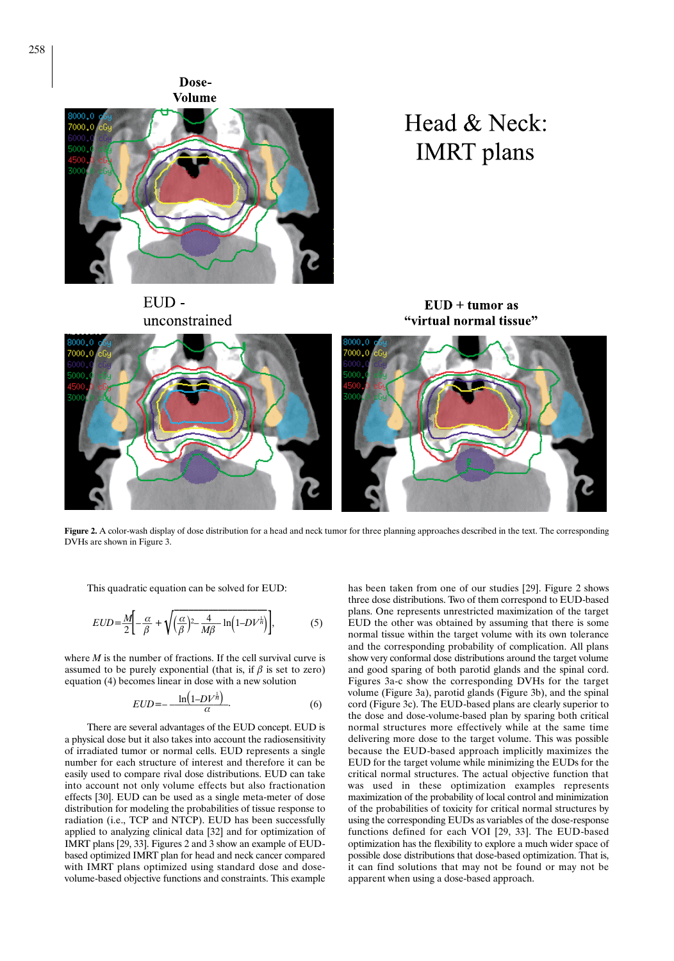Dose-**Volume** 



Head & Neck: **IMRT** plans

EUDunconstrained

 $EUD + tumor$  as "virtual normal tissue"



Figure 2. A color-wash display of dose distribution for a head and neck tumor for three planning approaches described in the text. The corresponding DVHs are shown in Figure 3.

This quadratic equation can be solved for EUD:

$$
EUD = \frac{M}{2} \left[ -\frac{\alpha}{\beta} + \sqrt{\left(\frac{\alpha}{\beta}\right)^2 - \frac{4}{M\beta} \ln\left(1 - DV^{\frac{1}{n}}\right)} \right],\tag{5}
$$

where *M* is the number of fractions. If the cell survival curve is assumed to be purely exponential (that is, if  $\beta$  is set to zero) equation (4) becomes linear in dose with a new solution

$$
EUD = -\frac{\ln\left(1 - DV^{\frac{1}{n}}\right)}{\alpha}.\tag{6}
$$

There are several advantages of the EUD concept. EUD is a physical dose but it also takes into account the radiosensitivity of irradiated tumor or normal cells. EUD represents a single number for each structure of interest and therefore it can be easily used to compare rival dose distributions. EUD can take into account not only volume effects but also fractionation effects [30]. EUD can be used as a single meta-meter of dose distribution for modeling the probabilities of tissue response to radiation (i.e., TCP and NTCP). EUD has been successfully applied to analyzing clinical data [32] and for optimization of IMRT plans [29, 33]. Figures 2 and 3 show an example of EUDbased optimized IMRT plan for head and neck cancer compared with IMRT plans optimized using standard dose and dosevolume-based objective functions and constraints. This example has been taken from one of our studies [29]. Figure 2 shows three dose distributions. Two of them correspond to EUD-based plans. One represents unrestricted maximization of the target EUD the other was obtained by assuming that there is some normal tissue within the target volume with its own tolerance and the corresponding probability of complication. All plans show very conformal dose distributions around the target volume and good sparing of both parotid glands and the spinal cord. Figures 3a-c show the corresponding DVHs for the target volume (Figure 3a), parotid glands (Figure 3b), and the spinal cord (Figure 3c). The EUD-based plans are clearly superior to the dose and dose-volume-based plan by sparing both critical normal structures more effectively while at the same time delivering more dose to the target volume. This was possible because the EUD-based approach implicitly maximizes the EUD for the target volume while minimizing the EUDs for the critical normal structures. The actual objective function that was used in these optimization examples represents maximization of the probability of local control and minimization of the probabilities of toxicity for critical normal structures by using the corresponding EUDs as variables of the dose-response functions defined for each VOI [29, 33]. The EUD-based optimization has the flexibility to explore a much wider space of possible dose distributions that dose-based optimization. That is, it can find solutions that may not be found or may not be apparent when using a dose-based approach.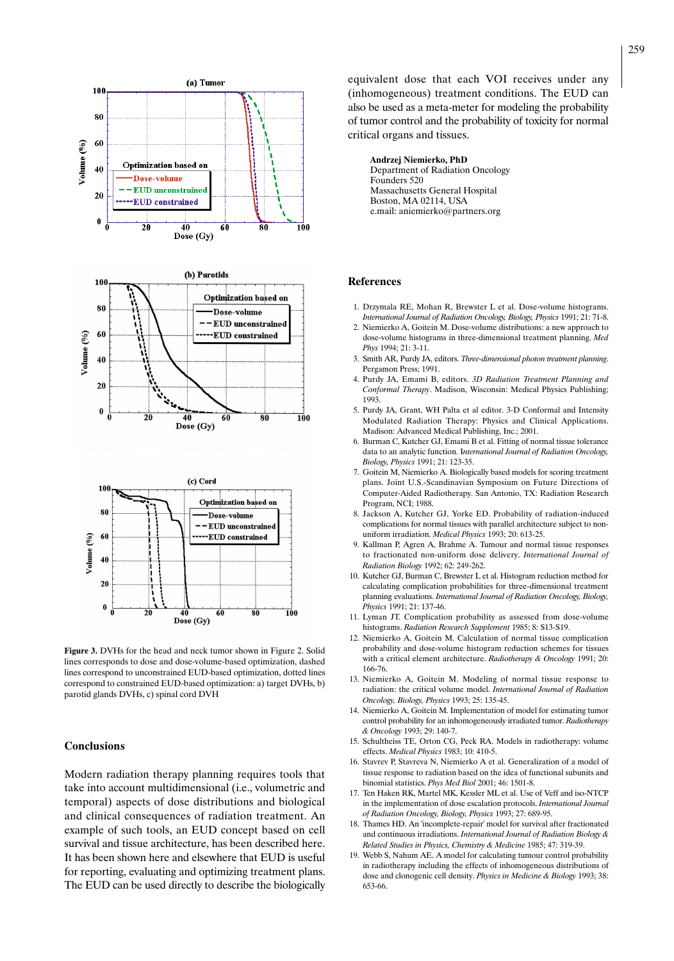

**Figure 3.** DVHs for the head and neck tumor shown in Figure 2. Solid lines corresponds to dose and dose-volume-based optimization, dashed lines correspond to unconstrained EUD-based optimization, dotted lines correspond to constrained EUD-based optimization: a) target DVHs, b) parotid glands DVHs, c) spinal cord DVH

#### **Conclusions**

Modern radiation therapy planning requires tools that take into account multidimensional (i.e., volumetric and temporal) aspects of dose distributions and biological and clinical consequences of radiation treatment. An example of such tools, an EUD concept based on cell survival and tissue architecture, has been described here. It has been shown here and elsewhere that EUD is useful for reporting, evaluating and optimizing treatment plans. The EUD can be used directly to describe the biologically

equivalent dose that each VOI receives under any (inhomogeneous) treatment conditions. The EUD can also be used as a meta-meter for modeling the probability of tumor control and the probability of toxicity for normal critical organs and tissues.

#### **Andrzej Niemierko, PhD**

Department of Radiation Oncology Founders 520 Massachusetts General Hospital Boston, MA 02114, USA e.mail: aniemierko@partners.org

#### **References**

- 1. Drzymala RE, Mohan R, Brewster L et al. Dose-volume histograms. *International Journal of Radiation Oncology, Biology, Physics* 1991; 21: 71-8.
- 2. Niemierko A, Goitein M. Dose-volume distributions: a new approach to dose-volume histograms in three-dimensional treatment planning. *Med Phys* 1994; 21: 3-11.
- 3. Smith AR, Purdy JA, editors. *Three-dimensional photon treatment planning*. Pergamon Press; 1991.
- 4. Purdy JA, Emami B, editors. *3D Radiation Treatment Planning and Conformal Therapy*. Madison, Wisconsin: Medical Physics Publishing; 1993.
- 5. Purdy JA, Grant, WH Palta et al editor. 3-D Conformal and Intensity Modulated Radiation Therapy: Physics and Clinical Applications. Madison: Advanced Medical Publishing, Inc.; 2001.
- 6. Burman C, Kutcher GJ, Emami B et al. Fitting of normal tissue tolerance data to an analytic function. I*nternational Journal of Radiation Oncology, Biology, Physics* 1991; 21: 123-35.
- 7. Goitein M, Niemierko A. Biologically based models for scoring treatment plans. Joint U.S.-Scandinavian Symposium on Future Directions of Computer-Aided Radiotherapy. San Antonio, TX: Radiation Research Program, NCI; 1988.
- 8. Jackson A, Kutcher GJ, Yorke ED. Probability of radiation-induced complications for normal tissues with parallel architecture subject to nonuniform irradiation. *Medical Physics* 1993; 20: 613-25.
- 9. Kallman P, Agren A, Brahme A. Tumour and normal tissue responses to fractionated non-uniform dose delivery. *International Journal of Radiation Biology* 1992; 62: 249-262.
- 10. Kutcher GJ, Burman C, Brewster L et al. Histogram reduction method for calculating complication probabilities for three-dimensional treatment planning evaluations. *International Journal of Radiation Oncology, Biology, Physics* 1991; 21: 137-46.
- 11. Lyman JT. Complication probability as assessed from dose-volume histograms. *Radiation Research Supplement* 1985; 8: S13-S19.
- 12. Niemierko A, Goitein M. Calculation of normal tissue complication probability and dose-volume histogram reduction schemes for tissues with a critical element architecture. *Radiotherapy & Oncology* 1991; 20: 166-76.
- 13. Niemierko A, Goitein M. Modeling of normal tissue response to radiation: the critical volume model. *International Journal of Radiation Oncology, Biology, Physics* 1993; 25: 135-45.
- 14. Niemierko A, Goitein M. Implementation of model for estimating tumor control probability for an inhomogeneously irradiated tumor. *Radiotherapy & Oncology* 1993; 29: 140-7.
- 15. Schultheiss TE, Orton CG, Peck RA. Models in radiotherapy: volume effects. *Medical Physics* 1983; 10: 410-5.
- 16. Stavrev P, Stavreva N, Niemierko A et al. Generalization of a model of tissue response to radiation based on the idea of functional subunits and binomial statistics. *Phys Med Biol* 2001; 46: 1501-8.
- 17. Ten Haken RK, Martel MK, Kessler ML et al. Use of Veff and iso-NTCP in the implementation of dose escalation protocols. *International Journal of Radiation Oncology, Biology, Physics* 1993; 27: 689-95.
- 18. Thames HD. An 'incomplete-repair' model for survival after fractionated and continuous irradiations. *International Journal of Radiation Biology & Related Studies in Physics, Chemistry & Medicine* 1985; 47: 319-39.
- 19. Webb S, Nahum AE. A model for calculating tumour control probability in radiotherapy including the effects of inhomogeneous distributions of dose and clonogenic cell density. *Physics in Medicine & Biology* 1993; 38: 653-66.